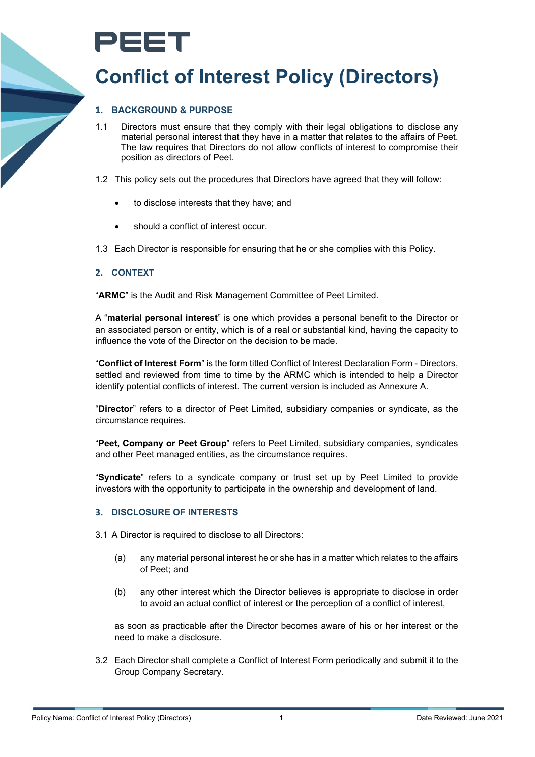# PEET

## **Conflict of Interest Policy (Directors)**

#### **1. BACKGROUND & PURPOSE**

- 1.1 Directors must ensure that they comply with their legal obligations to disclose any material personal interest that they have in a matter that relates to the affairs of Peet. The law requires that Directors do not allow conflicts of interest to compromise their position as directors of Peet.
- 1.2 This policy sets out the procedures that Directors have agreed that they will follow:
	- to disclose interests that they have; and
	- should a conflict of interest occur.
- 1.3 Each Director is responsible for ensuring that he or she complies with this Policy.

#### **2. CONTEXT**

"**ARMC**" is the Audit and Risk Management Committee of Peet Limited.

A "**material personal interest**" is one which provides a personal benefit to the Director or an associated person or entity, which is of a real or substantial kind, having the capacity to influence the vote of the Director on the decision to be made.

"**Conflict of Interest Form**" is the form titled Conflict of Interest Declaration Form - Directors, settled and reviewed from time to time by the ARMC which is intended to help a Director identify potential conflicts of interest. The current version is included as Annexure A.

"**Director**" refers to a director of Peet Limited, subsidiary companies or syndicate, as the circumstance requires.

"**Peet, Company or Peet Group**" refers to Peet Limited, subsidiary companies, syndicates and other Peet managed entities, as the circumstance requires.

"**Syndicate**" refers to a syndicate company or trust set up by Peet Limited to provide investors with the opportunity to participate in the ownership and development of land.

#### **3. DISCLOSURE OF INTERESTS**

- 3.1 A Director is required to disclose to all Directors:
	- (a) any material personal interest he or she has in a matter which relates to the affairs of Peet; and
	- (b) any other interest which the Director believes is appropriate to disclose in order to avoid an actual conflict of interest or the perception of a conflict of interest,

as soon as practicable after the Director becomes aware of his or her interest or the need to make a disclosure.

3.2 Each Director shall complete a Conflict of Interest Form periodically and submit it to the Group Company Secretary.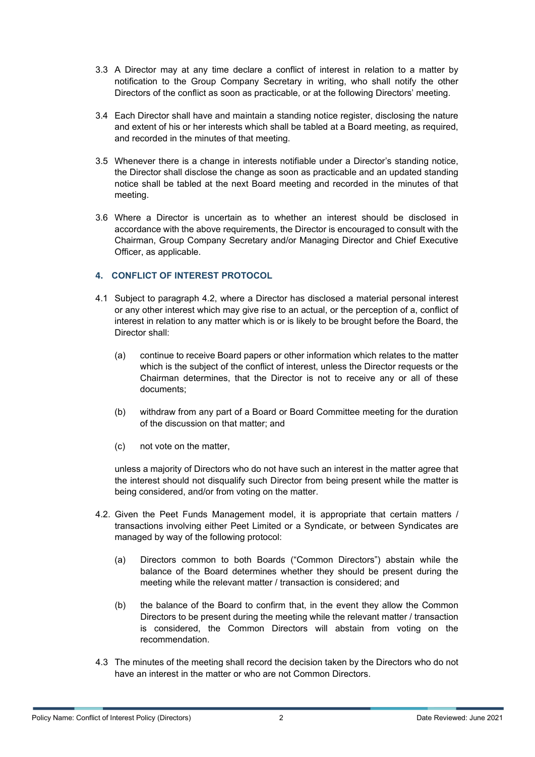- 3.3 A Director may at any time declare a conflict of interest in relation to a matter by notification to the Group Company Secretary in writing, who shall notify the other Directors of the conflict as soon as practicable, or at the following Directors' meeting.
- 3.4 Each Director shall have and maintain a standing notice register, disclosing the nature and extent of his or her interests which shall be tabled at a Board meeting, as required, and recorded in the minutes of that meeting.
- 3.5 Whenever there is a change in interests notifiable under a Director's standing notice, the Director shall disclose the change as soon as practicable and an updated standing notice shall be tabled at the next Board meeting and recorded in the minutes of that meeting.
- 3.6 Where a Director is uncertain as to whether an interest should be disclosed in accordance with the above requirements, the Director is encouraged to consult with the Chairman, Group Company Secretary and/or Managing Director and Chief Executive Officer, as applicable.

#### **4. CONFLICT OF INTEREST PROTOCOL**

- 4.1 Subject to paragraph 4.2, where a Director has disclosed a material personal interest or any other interest which may give rise to an actual, or the perception of a, conflict of interest in relation to any matter which is or is likely to be brought before the Board, the Director shall:
	- (a) continue to receive Board papers or other information which relates to the matter which is the subject of the conflict of interest, unless the Director requests or the Chairman determines, that the Director is not to receive any or all of these documents;
	- (b) withdraw from any part of a Board or Board Committee meeting for the duration of the discussion on that matter; and
	- (c) not vote on the matter,

unless a majority of Directors who do not have such an interest in the matter agree that the interest should not disqualify such Director from being present while the matter is being considered, and/or from voting on the matter.

- 4.2. Given the Peet Funds Management model, it is appropriate that certain matters / transactions involving either Peet Limited or a Syndicate, or between Syndicates are managed by way of the following protocol:
	- (a) Directors common to both Boards ("Common Directors") abstain while the balance of the Board determines whether they should be present during the meeting while the relevant matter / transaction is considered; and
	- (b) the balance of the Board to confirm that, in the event they allow the Common Directors to be present during the meeting while the relevant matter / transaction is considered, the Common Directors will abstain from voting on the recommendation.
- 4.3 The minutes of the meeting shall record the decision taken by the Directors who do not have an interest in the matter or who are not Common Directors.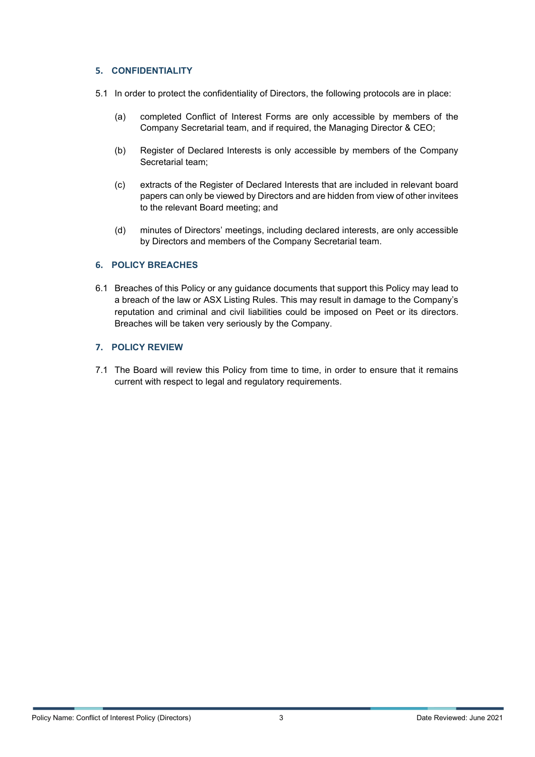#### **5. CONFIDENTIALITY**

- 5.1 In order to protect the confidentiality of Directors, the following protocols are in place:
	- (a) completed Conflict of Interest Forms are only accessible by members of the Company Secretarial team, and if required, the Managing Director & CEO;
	- (b) Register of Declared Interests is only accessible by members of the Company Secretarial team;
	- (c) extracts of the Register of Declared Interests that are included in relevant board papers can only be viewed by Directors and are hidden from view of other invitees to the relevant Board meeting; and
	- (d) minutes of Directors' meetings, including declared interests, are only accessible by Directors and members of the Company Secretarial team.

#### **6. POLICY BREACHES**

6.1 Breaches of this Policy or any guidance documents that support this Policy may lead to a breach of the law or ASX Listing Rules. This may result in damage to the Company's reputation and criminal and civil liabilities could be imposed on Peet or its directors. Breaches will be taken very seriously by the Company.

#### **7. POLICY REVIEW**

7.1 The Board will review this Policy from time to time, in order to ensure that it remains current with respect to legal and regulatory requirements.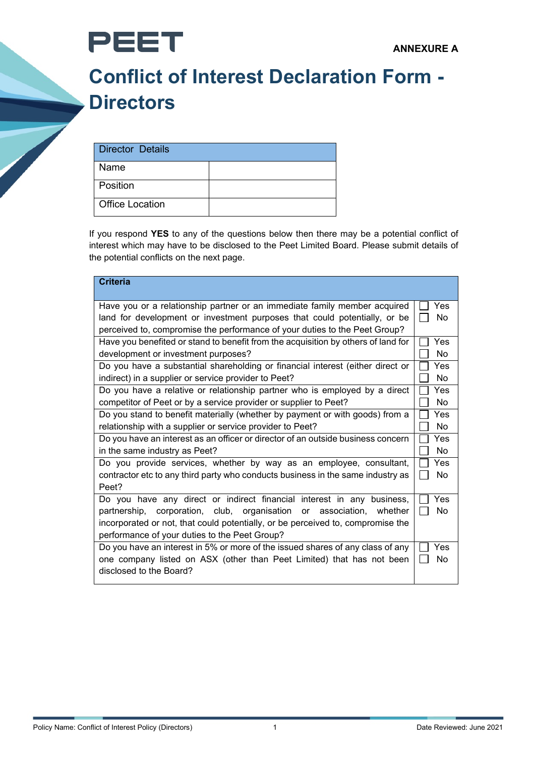

## **Conflict of Interest Declaration Form - Directors**

| Director Details       |  |
|------------------------|--|
| Name                   |  |
| Position               |  |
| <b>Office Location</b> |  |

If you respond **YES** to any of the questions below then there may be a potential conflict of interest which may have to be disclosed to the Peet Limited Board. Please submit details of the potential conflicts on the next page.

| <b>Criteria</b>                                                                                                                                        |     |  |
|--------------------------------------------------------------------------------------------------------------------------------------------------------|-----|--|
| Have you or a relationship partner or an immediate family member acquired<br>land for development or investment purposes that could potentially, or be |     |  |
| perceived to, compromise the performance of your duties to the Peet Group?                                                                             |     |  |
| Have you benefited or stand to benefit from the acquisition by others of land for                                                                      |     |  |
| development or investment purposes?                                                                                                                    |     |  |
| Do you have a substantial shareholding or financial interest (either direct or                                                                         |     |  |
| indirect) in a supplier or service provider to Peet?                                                                                                   |     |  |
| Do you have a relative or relationship partner who is employed by a direct                                                                             |     |  |
| competitor of Peet or by a service provider or supplier to Peet?                                                                                       |     |  |
| Do you stand to benefit materially (whether by payment or with goods) from a                                                                           |     |  |
| relationship with a supplier or service provider to Peet?                                                                                              |     |  |
| Do you have an interest as an officer or director of an outside business concern                                                                       |     |  |
| in the same industry as Peet?                                                                                                                          |     |  |
| Do you provide services, whether by way as an employee, consultant,                                                                                    |     |  |
| contractor etc to any third party who conducts business in the same industry as                                                                        |     |  |
| Peet?                                                                                                                                                  |     |  |
| Do you have any direct or indirect financial interest in any business,                                                                                 | Yes |  |
| partnership, corporation, club, organisation or association, whether                                                                                   | No. |  |
| incorporated or not, that could potentially, or be perceived to, compromise the                                                                        |     |  |
| performance of your duties to the Peet Group?                                                                                                          |     |  |
| Do you have an interest in 5% or more of the issued shares of any class of any                                                                         |     |  |
| one company listed on ASX (other than Peet Limited) that has not been                                                                                  |     |  |
| disclosed to the Board?                                                                                                                                |     |  |